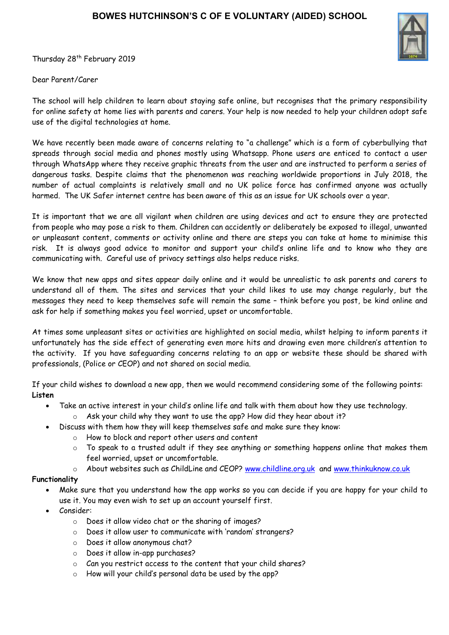Thursday 28<sup>th</sup> February 2019

Dear Parent/Carer

The school will help children to learn about staying safe online, but recognises that the primary responsibility for online safety at home lies with parents and carers. Your help is now needed to help your children adopt safe use of the digital technologies at home.

We have recently been made aware of concerns relating to "a challenge" which is a form of cyberbullying that spreads through social media and phones mostly using Whatsapp. Phone users are enticed to contact a user through WhatsApp where they receive graphic threats from the user and are instructed to perform a series of dangerous tasks. Despite claims that the phenomenon was reaching worldwide proportions in July 2018, the number of actual complaints is relatively small and no UK police force has confirmed anyone was actually harmed. The UK Safer internet centre has been aware of this as an issue for UK schools over a year.

It is important that we are all vigilant when children are using devices and act to ensure they are protected from people who may pose a risk to them. Children can accidently or deliberately be exposed to illegal, unwanted or unpleasant content, comments or activity online and there are steps you can take at home to minimise this risk. It is always good advice to monitor and support your child's online life and to know who they are communicating with. Careful use of privacy settings also helps reduce risks.

We know that new apps and sites appear daily online and it would be unrealistic to ask parents and carers to understand all of them. The sites and services that your child likes to use may change regularly, but the messages they need to keep themselves safe will remain the same – think before you post, be kind online and ask for help if something makes you feel worried, upset or uncomfortable.

At times some unpleasant sites or activities are highlighted on social media, whilst helping to inform parents it unfortunately has the side effect of generating even more hits and drawing even more children's attention to the activity. If you have safeguarding concerns relating to an app or website these should be shared with professionals, (Police or CEOP) and not shared on social media.

If your child wishes to download a new app, then we would recommend considering some of the following points: **Listen**

- Take an active interest in your child's online life and talk with them about how they use technology.
	- o Ask your child why they want to use the app? How did they hear about it?
- Discuss with them how they will keep themselves safe and make sure they know:
	- o How to block and report other users and content
	- o To speak to a trusted adult if they see anything or something happens online that makes them feel worried, upset or uncomfortable.
	- o About websites such as ChildLine and CEOP? [www.childline.org.uk](http://www.childline.org.uk/) and [www.thinkuknow.co.uk](http://www.thinkuknow.co.uk/)

## **Functionality**

- Make sure that you understand how the app works so you can decide if you are happy for your child to use it. You may even wish to set up an account yourself first.
- Consider:
	- o Does it allow video chat or the sharing of images?
	- o Does it allow user to communicate with 'random' strangers?
	- o Does it allow anonymous chat?
	- o Does it allow in-app purchases?
	- o Can you restrict access to the content that your child shares?
	- o How will your child's personal data be used by the app?